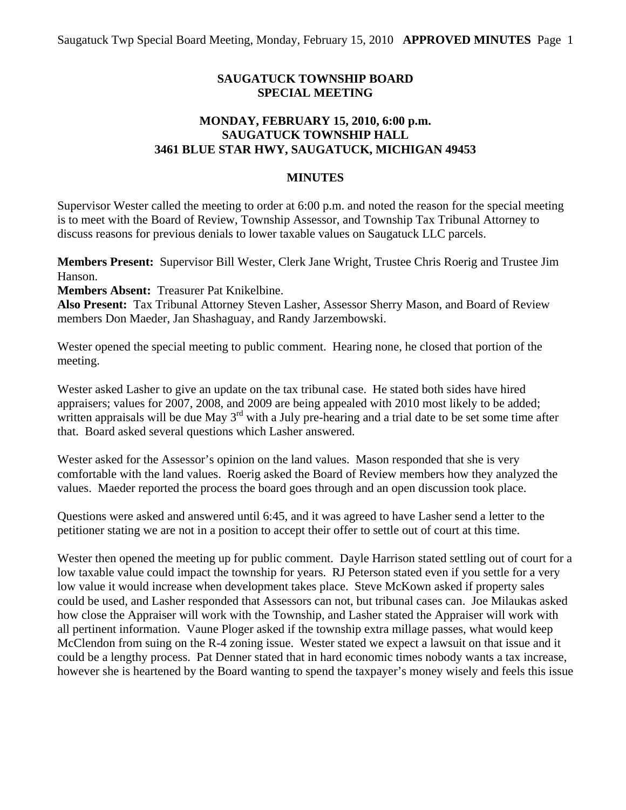## **SAUGATUCK TOWNSHIP BOARD SPECIAL MEETING**

## **MONDAY, FEBRUARY 15, 2010, 6:00 p.m. SAUGATUCK TOWNSHIP HALL 3461 BLUE STAR HWY, SAUGATUCK, MICHIGAN 49453**

## **MINUTES**

Supervisor Wester called the meeting to order at 6:00 p.m. and noted the reason for the special meeting is to meet with the Board of Review, Township Assessor, and Township Tax Tribunal Attorney to discuss reasons for previous denials to lower taxable values on Saugatuck LLC parcels.

**Members Present:** Supervisor Bill Wester, Clerk Jane Wright, Trustee Chris Roerig and Trustee Jim Hanson.

**Members Absent:** Treasurer Pat Knikelbine.

**Also Present:** Tax Tribunal Attorney Steven Lasher, Assessor Sherry Mason, and Board of Review members Don Maeder, Jan Shashaguay, and Randy Jarzembowski.

Wester opened the special meeting to public comment. Hearing none, he closed that portion of the meeting.

Wester asked Lasher to give an update on the tax tribunal case. He stated both sides have hired appraisers; values for 2007, 2008, and 2009 are being appealed with 2010 most likely to be added; written appraisals will be due May  $3<sup>rd</sup>$  with a July pre-hearing and a trial date to be set some time after that. Board asked several questions which Lasher answered.

Wester asked for the Assessor's opinion on the land values. Mason responded that she is very comfortable with the land values. Roerig asked the Board of Review members how they analyzed the values. Maeder reported the process the board goes through and an open discussion took place.

Questions were asked and answered until 6:45, and it was agreed to have Lasher send a letter to the petitioner stating we are not in a position to accept their offer to settle out of court at this time.

Wester then opened the meeting up for public comment. Dayle Harrison stated settling out of court for a low taxable value could impact the township for years. RJ Peterson stated even if you settle for a very low value it would increase when development takes place. Steve McKown asked if property sales could be used, and Lasher responded that Assessors can not, but tribunal cases can. Joe Milaukas asked how close the Appraiser will work with the Township, and Lasher stated the Appraiser will work with all pertinent information. Vaune Ploger asked if the township extra millage passes, what would keep McClendon from suing on the R-4 zoning issue. Wester stated we expect a lawsuit on that issue and it could be a lengthy process. Pat Denner stated that in hard economic times nobody wants a tax increase, however she is heartened by the Board wanting to spend the taxpayer's money wisely and feels this issue